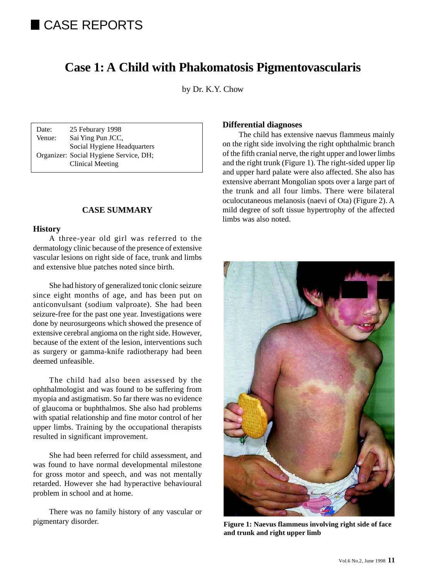# CASE REPORTS

## **Case 1: A Child with Phakomatosis Pigmentovascularis**

by Dr. K.Y. Chow

Date: 25 Feburary 1998 Venue: Sai Ying Pun JCC, Social Hygiene Headquarters Organizer: Social Hygiene Service, DH; Clinical Meeting

## **CASE SUMMARY**

#### **History**

A three-year old girl was referred to the dermatology clinic because of the presence of extensive vascular lesions on right side of face, trunk and limbs and extensive blue patches noted since birth.

She had history of generalized tonic clonic seizure since eight months of age, and has been put on anticonvulsant (sodium valproate). She had been seizure-free for the past one year. Investigations were done by neurosurgeons which showed the presence of extensive cerebral angioma on the right side. However, because of the extent of the lesion, interventions such as surgery or gamma-knife radiotherapy had been deemed unfeasible.

The child had also been assessed by the ophthalmologist and was found to be suffering from myopia and astigmatism. So far there was no evidence of glaucoma or buphthalmos. She also had problems with spatial relationship and fine motor control of her upper limbs. Training by the occupational therapists resulted in significant improvement.

She had been referred for child assessment, and was found to have normal developmental milestone for gross motor and speech, and was not mentally retarded. However she had hyperactive behavioural problem in school and at home.

There was no family history of any vascular or pigmentary disorder.

## **Differential diagnoses**

The child has extensive naevus flammeus mainly on the right side involving the right ophthalmic branch of the fifth cranial nerve, the right upper and lower limbs and the right trunk (Figure 1). The right-sided upper lip and upper hard palate were also affected. She also has extensive aberrant Mongolian spots over a large part of the trunk and all four limbs. There were bilateral oculocutaneous melanosis (naevi of Ota) (Figure 2). A mild degree of soft tissue hypertrophy of the affected limbs was also noted.



**Figure 1: Naevus flammeus involving right side of face and trunk and right upper limb**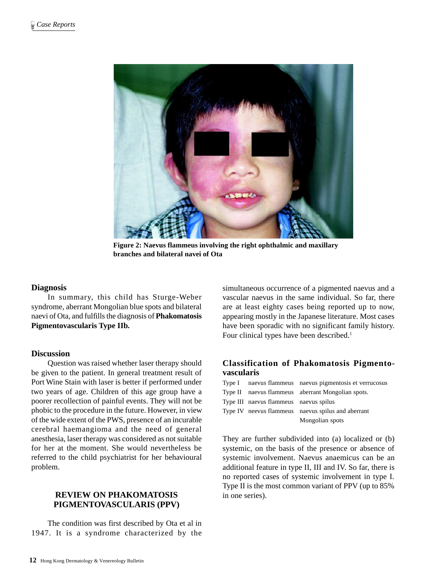

**Figure 2: Naevus flammeus involving the right ophthalmic and maxillary branches and bilateral navei of Ota**

## **Diagnosis**

In summary, this child has Sturge-Weber syndrome, aberrant Mongolian blue spots and bilateral naevi of Ota, and fulfills the diagnosis of **Phakomatosis Pigmentovascularis Type IIb.**

## **Discussion**

Question was raised whether laser therapy should be given to the patient. In general treatment result of Port Wine Stain with laser is better if performed under two years of age. Children of this age group have a poorer recollection of painful events. They will not be phobic to the procedure in the future. However, in view of the wide extent of the PWS, presence of an incurable cerebral haemangioma and the need of general anesthesia, laser therapy was considered as not suitable for her at the moment. She would nevertheless be referred to the child psychiatrist for her behavioural problem.

## **REVIEW ON PHAKOMATOSIS PIGMENTOVASCULARIS (PPV)**

The condition was first described by Ota et al in 1947. It is a syndrome characterized by the simultaneous occurrence of a pigmented naevus and a vascular naevus in the same individual. So far, there are at least eighty cases being reported up to now, appearing mostly in the Japanese literature. Most cases have been sporadic with no significant family history. Four clinical types have been described.<sup>1</sup>

## **Classification of Phakomatosis Pigmentovascularis**

|                                        | Type I naevus flammeus naevus pigmentosis et verrucosus |
|----------------------------------------|---------------------------------------------------------|
|                                        | Type II naevus flammeus aberrant Mongolian spots.       |
| Type III naevus flammeus naevus spilus |                                                         |
|                                        | Type IV neevus flammeus naevus spilus and aberrant      |
|                                        | Mongolian spots                                         |

They are further subdivided into (a) localized or (b) systemic, on the basis of the presence or absence of systemic involvement. Naevus anaemicus can be an additional feature in type II, III and IV. So far, there is no reported cases of systemic involvement in type I. Type II is the most common variant of PPV (up to 85% in one series).